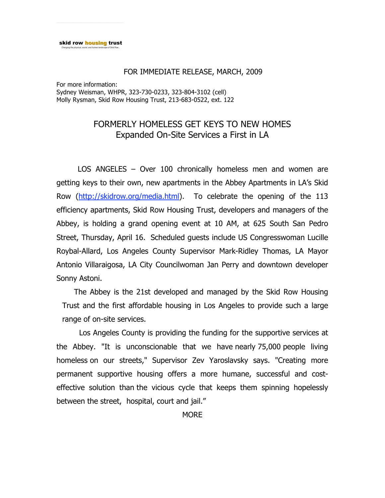## FOR IMMEDIATE RELEASE, MARCH, 2009

For more information: Sydney Weisman, WHPR, 323-730-0233, 323-804-3102 (cell) Molly Rysman, Skid Row Housing Trust, 213-683-0522, ext. 122

## FORMERLY HOMELESS GET KEYS TO NEW HOMES Expanded On-Site Services a First in LA

 LOS ANGELES – Over 100 chronically homeless men and women are getting keys to their own, new apartments in the Abbey Apartments in LA's Skid Row (http://skidrow.org/media.html). To celebrate the opening of the 113 efficiency apartments, Skid Row Housing Trust, developers and managers of the Abbey, is holding a grand opening event at 10 AM, at 625 South San Pedro Street, Thursday, April 16. Scheduled guests include US Congresswoman Lucille Roybal-Allard, Los Angeles County Supervisor Mark-Ridley Thomas, LA Mayor Antonio Villaraigosa, LA City Councilwoman Jan Perry and downtown developer Sonny Astoni.

 The Abbey is the 21st developed and managed by the Skid Row Housing Trust and the first affordable housing in Los Angeles to provide such a large range of on-site services.

Los Angeles County is providing the funding for the supportive services at the Abbey. "It is unconscionable that we have nearly 75,000 people living homeless on our streets," Supervisor Zev Yaroslavsky says. "Creating more permanent supportive housing offers a more humane, successful and costeffective solution than the vicious cycle that keeps them spinning hopelessly between the street, hospital, court and jail."

**MORE**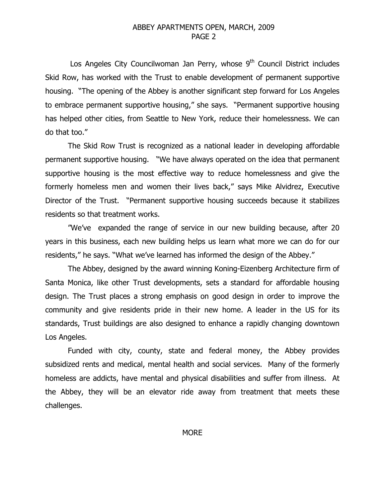## ABBEY APARTMENTS OPEN, MARCH, 2009 PAGE 2

Los Angeles City Councilwoman Jan Perry, whose 9<sup>th</sup> Council District includes Skid Row, has worked with the Trust to enable development of permanent supportive housing. "The opening of the Abbey is another significant step forward for Los Angeles to embrace permanent supportive housing," she says. "Permanent supportive housing has helped other cities, from Seattle to New York, reduce their homelessness. We can do that too."

The Skid Row Trust is recognized as a national leader in developing affordable permanent supportive housing. "We have always operated on the idea that permanent supportive housing is the most effective way to reduce homelessness and give the formerly homeless men and women their lives back," says Mike Alvidrez, Executive Director of the Trust. "Permanent supportive housing succeeds because it stabilizes residents so that treatment works.

"We've expanded the range of service in our new building because, after 20 years in this business, each new building helps us learn what more we can do for our residents," he says. "What we've learned has informed the design of the Abbey."

The Abbey, designed by the award winning Koning-Eizenberg Architecture firm of Santa Monica, like other Trust developments, sets a standard for affordable housing design. The Trust places a strong emphasis on good design in order to improve the community and give residents pride in their new home. A leader in the US for its standards, Trust buildings are also designed to enhance a rapidly changing downtown Los Angeles.

Funded with city, county, state and federal money, the Abbey provides subsidized rents and medical, mental health and social services. Many of the formerly homeless are addicts, have mental and physical disabilities and suffer from illness. At the Abbey, they will be an elevator ride away from treatment that meets these challenges.

**MORE**